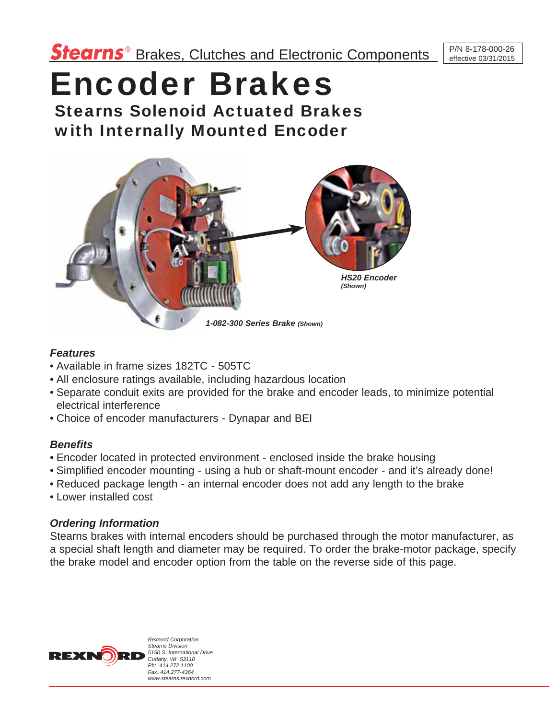# Encoder Brakes

Stearns Solenoid Actuated Brakes with Internally Mounted Encoder



#### *Features*

- Available in frame sizes 182TC 505TC
- All enclosure ratings available, including hazardous location
- Separate conduit exits are provided for the brake and encoder leads, to minimize potential electrical interference
- Choice of encoder manufacturers Dynapar and BEI

## *Benefits*

- Encoder located in protected environment enclosed inside the brake housing
- Simplified encoder mounting using a hub or shaft-mount encoder and it's already done!
- Reduced package length an internal encoder does not add any length to the brake
- Lower installed cost

## *Ordering Information*

Stearns brakes with internal encoders should be purchased through the motor manufacturer, as a special shaft length and diameter may be required. To order the brake-motor package, specify the brake model and encoder option from the table on the reverse side of this page.



*Rexnord Corporation Stearns Division 5150 S. International Drive Cudahy, WI 53110 Ph: 414.272.1100 Fax: 414.277-4364 www.stearns.rexnord.com*